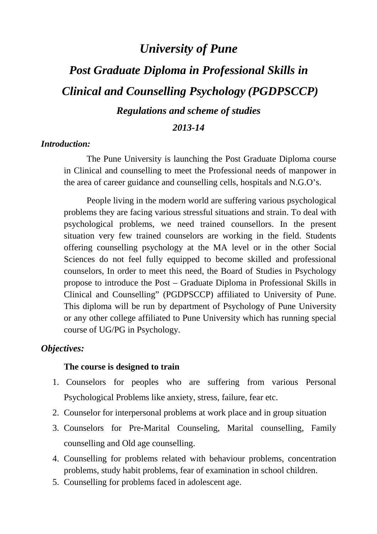# *University of Pune*

# *Post Graduate Diploma in Professional Skills in Clinical and Counselling Psychology (PGDPSCCP) Regulations and scheme of studies*

#### *2013-14*

#### *Introduction:*

The Pune University is launching the Post Graduate Diploma course in Clinical and counselling to meet the Professional needs of manpower in the area of career guidance and counselling cells, hospitals and N.G.O's.

People living in the modern world are suffering various psychological problems they are facing various stressful situations and strain. To deal with psychological problems, we need trained counsellors. In the present situation very few trained counselors are working in the field. Students offering counselling psychology at the MA level or in the other Social Sciences do not feel fully equipped to become skilled and professional counselors, In order to meet this need, the Board of Studies in Psychology propose to introduce the Post – Graduate Diploma in Professional Skills in Clinical and Counselling" (PGDPSCCP) affiliated to University of Pune. This diploma will be run by department of Psychology of Pune University or any other college affiliated to Pune University which has running special course of UG/PG in Psychology.

#### *Objectives:*

#### **The course is designed to train**

- 1. Counselors for peoples who are suffering from various Personal Psychological Problems like anxiety, stress, failure, fear etc.
- 2. Counselor for interpersonal problems at work place and in group situation
- 3. Counselors for Pre-Marital Counseling, Marital counselling, Family counselling and Old age counselling.
- 4. Counselling for problems related with behaviour problems, concentration problems, study habit problems, fear of examination in school children.
- 5. Counselling for problems faced in adolescent age.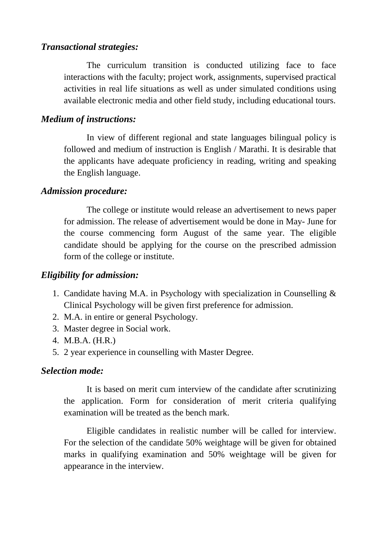#### *Transactional strategies:*

 The curriculum transition is conducted utilizing face to face interactions with the faculty; project work, assignments, supervised practical activities in real life situations as well as under simulated conditions using available electronic media and other field study, including educational tours.

#### *Medium of instructions:*

 In view of different regional and state languages bilingual policy is followed and medium of instruction is English / Marathi. It is desirable that the applicants have adequate proficiency in reading, writing and speaking the English language.

#### *Admission procedure:*

 The college or institute would release an advertisement to news paper for admission. The release of advertisement would be done in May- June for the course commencing form August of the same year. The eligible candidate should be applying for the course on the prescribed admission form of the college or institute.

# *Eligibility for admission:*

- 1. Candidate having M.A. in Psychology with specialization in Counselling & Clinical Psychology will be given first preference for admission.
- 2. M.A. in entire or general Psychology.
- 3. Master degree in Social work.
- 4. M.B.A. (H.R.)
- 5. 2 year experience in counselling with Master Degree.

#### *Selection mode:*

 It is based on merit cum interview of the candidate after scrutinizing the application. Form for consideration of merit criteria qualifying examination will be treated as the bench mark.

 Eligible candidates in realistic number will be called for interview. For the selection of the candidate 50% weightage will be given for obtained marks in qualifying examination and 50% weightage will be given for appearance in the interview.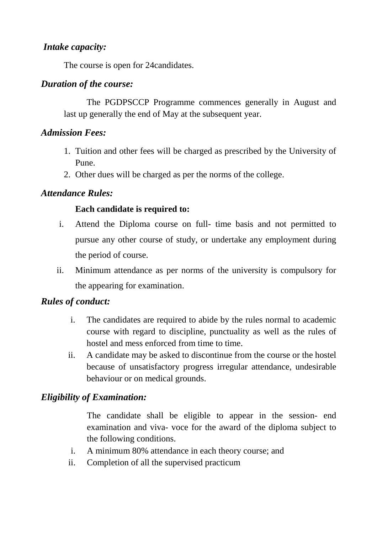#### *Intake capacity:*

The course is open for 24candidates.

#### *Duration of the course:*

 The PGDPSCCP Programme commences generally in August and last up generally the end of May at the subsequent year.

#### *Admission Fees:*

- 1. Tuition and other fees will be charged as prescribed by the University of Pune.
- 2. Other dues will be charged as per the norms of the college.

#### *Attendance Rules:*

#### **Each candidate is required to:**

- i. Attend the Diploma course on full- time basis and not permitted to pursue any other course of study, or undertake any employment during the period of course.
- ii. Minimum attendance as per norms of the university is compulsory for the appearing for examination.

# *Rules of conduct:*

- i. The candidates are required to abide by the rules normal to academic course with regard to discipline, punctuality as well as the rules of hostel and mess enforced from time to time.
- ii. A candidate may be asked to discontinue from the course or the hostel because of unsatisfactory progress irregular attendance, undesirable behaviour or on medical grounds.

# *Eligibility of Examination:*

The candidate shall be eligible to appear in the session- end examination and viva- voce for the award of the diploma subject to the following conditions.

- i. A minimum 80% attendance in each theory course; and
- ii. Completion of all the supervised practicum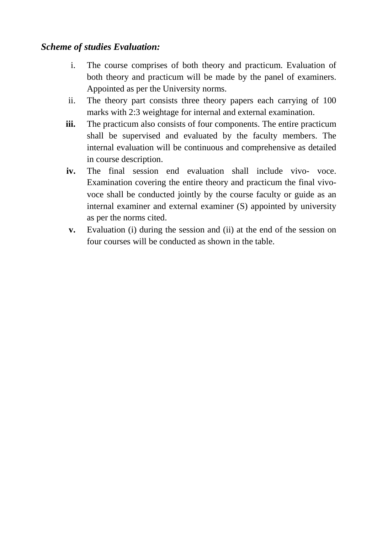#### *Scheme of studies Evaluation:*

- i. The course comprises of both theory and practicum. Evaluation of both theory and practicum will be made by the panel of examiners. Appointed as per the University norms.
- ii. The theory part consists three theory papers each carrying of 100 marks with 2:3 weightage for internal and external examination.
- **iii.** The practicum also consists of four components. The entire practicum shall be supervised and evaluated by the faculty members. The internal evaluation will be continuous and comprehensive as detailed in course description.
- **iv.** The final session end evaluation shall include vivo- voce. Examination covering the entire theory and practicum the final vivovoce shall be conducted jointly by the course faculty or guide as an internal examiner and external examiner (S) appointed by university as per the norms cited.
- **v.** Evaluation (i) during the session and (ii) at the end of the session on four courses will be conducted as shown in the table.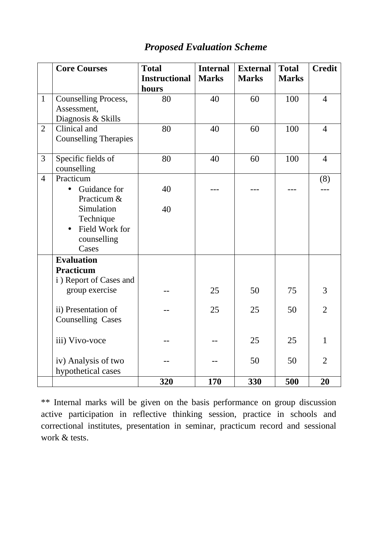|                | <b>Core Courses</b>          | <b>Total</b>         | <b>Internal</b> | <b>External</b> | <b>Total</b> | <b>Credit</b>  |
|----------------|------------------------------|----------------------|-----------------|-----------------|--------------|----------------|
|                |                              | <b>Instructional</b> | <b>Marks</b>    | <b>Marks</b>    | <b>Marks</b> |                |
|                |                              | hours                |                 |                 |              |                |
| $\mathbf{1}$   | Counselling Process,         | 80                   | 40              | 60              | 100          | $\overline{4}$ |
|                | Assessment,                  |                      |                 |                 |              |                |
|                | Diagnosis & Skills           |                      |                 |                 |              |                |
| $\overline{2}$ | Clinical and                 | 80                   | 40              | 60              | 100          | $\overline{4}$ |
|                | <b>Counselling Therapies</b> |                      |                 |                 |              |                |
|                |                              |                      |                 |                 |              |                |
| 3              | Specific fields of           | 80                   | 40              | 60              | 100          | $\overline{4}$ |
|                | counselling                  |                      |                 |                 |              |                |
| $\overline{4}$ | Practicum                    |                      |                 |                 |              | (8)            |
|                | Guidance for<br>$\bullet$    | 40                   |                 |                 |              |                |
|                | Practicum &                  |                      |                 |                 |              |                |
|                | Simulation                   | 40                   |                 |                 |              |                |
|                | Technique                    |                      |                 |                 |              |                |
|                | Field Work for<br>$\bullet$  |                      |                 |                 |              |                |
|                | counselling                  |                      |                 |                 |              |                |
|                | Cases                        |                      |                 |                 |              |                |
|                | <b>Evaluation</b>            |                      |                 |                 |              |                |
|                | <b>Practicum</b>             |                      |                 |                 |              |                |
|                | i) Report of Cases and       |                      |                 |                 |              |                |
|                | group exercise               |                      | 25              | 50              | 75           | 3              |
|                | ii) Presentation of          |                      | 25              | 25              | 50           | $\overline{2}$ |
|                | <b>Counselling Cases</b>     |                      |                 |                 |              |                |
|                |                              |                      |                 |                 |              |                |
|                | iii) Vivo-voce               |                      |                 | 25              | 25           | $\mathbf{1}$   |
|                |                              |                      |                 |                 |              |                |
|                | iv) Analysis of two          |                      |                 | 50              | 50           | $\overline{2}$ |
|                | hypothetical cases           |                      |                 |                 |              |                |
|                |                              | 320                  | 170             | 330             | 500          | 20             |

# *Proposed Evaluation Scheme*

\*\* Internal marks will be given on the basis performance on group discussion active participation in reflective thinking session, practice in schools and correctional institutes, presentation in seminar, practicum record and sessional work & tests.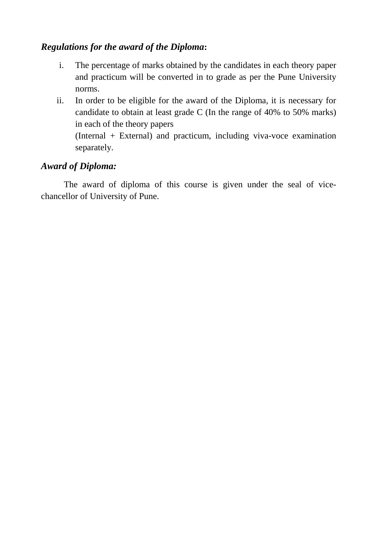# *Regulations for the award of the Diploma***:**

- i. The percentage of marks obtained by the candidates in each theory paper and practicum will be converted in to grade as per the Pune University norms.
- ii. In order to be eligible for the award of the Diploma, it is necessary for candidate to obtain at least grade C (In the range of 40% to 50% marks) in each of the theory papers (Internal + External) and practicum, including viva-voce examination separately.

#### *Award of Diploma:*

 The award of diploma of this course is given under the seal of vicechancellor of University of Pune.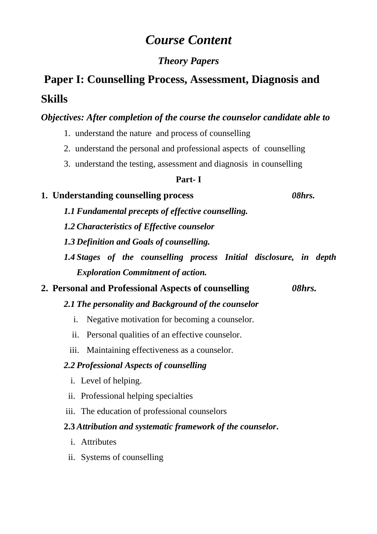# *Course Content*

# *Theory Papers*

# **Paper I: Counselling Process, Assessment, Diagnosis and Skills**

# *Objectives: After completion of the course the counselor candidate able to*

- 1. understand the nature and process of counselling
- 2. understand the personal and professional aspects of counselling
- 3. understand the testing, assessment and diagnosis in counselling

#### **Part- I**

# **1. Understanding counselling process** *08hrs.*

- *1.1 Fundamental precepts of effective counselling.*
- *1.2 Characteristics of Effective counselor*
- *1.3 Definition and Goals of counselling.*
- *1.4 Stages of the counselling process Initial disclosure, in depth Exploration Commitment of action.*

# **2. Personal and Professional Aspects of counselling** *08hrs.*

# *2.1 The personality and Background of the counselor*

- i. Negative motivation for becoming a counselor.
- ii. Personal qualities of an effective counselor.
- iii. Maintaining effectiveness as a counselor.

# *2.2 Professional Aspects of counselling*

- i. Level of helping.
- ii. Professional helping specialties
- iii. The education of professional counselors

# **2.3** *Attribution and systematic framework of the counselor***.**

- i. Attributes
- ii. Systems of counselling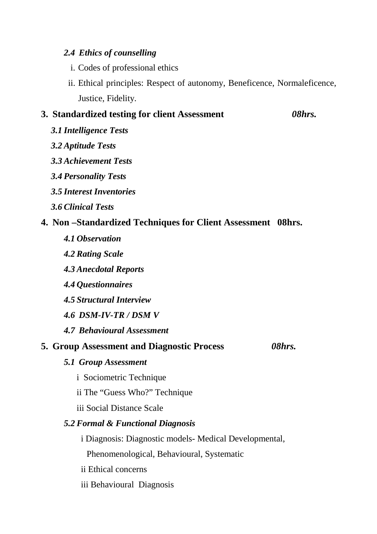#### *2.4 Ethics of counselling*

- i. Codes of professional ethics
- ii. Ethical principles: Respect of autonomy, Beneficence, Normaleficence, Justice, Fidelity.

#### **3. Standardized testing for client Assessment** *08hrs.*

- *3.1 Intelligence Tests*
- *3.2 Aptitude Tests*
- *3.3 Achievement Tests*
- *3.4 Personality Tests*
- *3.5 Interest Inventories*
- *3.6 Clinical Tests*

#### **4. Non –Standardized Techniques for Client Assessment 08hrs.**

- *4.1 Observation*
- *4.2 Rating Scale*
- *4.3 Anecdotal Reports*
- *4.4 Questionnaires*
- *4.5 Structural Interview*
- *4.6 DSM-IV-TR / DSM V*
- *4.7 Behavioural Assessment*

#### **5. Group Assessment and Diagnostic Process** *08hrs.*

- *5.1 Group Assessment* 
	- i Sociometric Technique
	- ii The "Guess Who?" Technique
	- iii Social Distance Scale

#### *5.2 Formal & Functional Diagnosis*

i Diagnosis: Diagnostic models- Medical Developmental,

Phenomenological, Behavioural, Systematic

- ii Ethical concerns
- iii Behavioural Diagnosis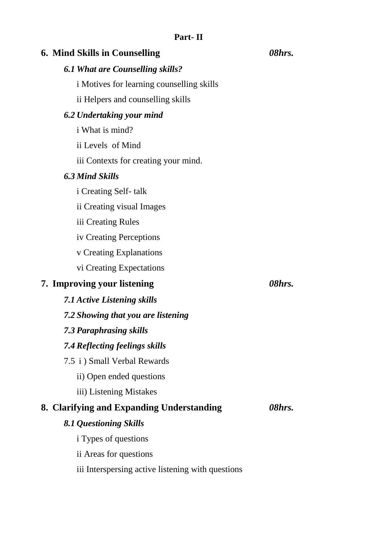| <b>6. Mind Skills in Counselling</b>              | 08hrs. |
|---------------------------------------------------|--------|
| <b>6.1 What are Counselling skills?</b>           |        |
| i Motives for learning counselling skills         |        |
| ii Helpers and counselling skills                 |        |
| 6.2 Undertaking your mind                         |        |
| i What is mind?                                   |        |
| ii Levels of Mind                                 |        |
| iii Contexts for creating your mind.              |        |
| <b>6.3 Mind Skills</b>                            |        |
| <i>i</i> Creating Self-talk                       |        |
| ii Creating visual Images                         |        |
| iii Creating Rules                                |        |
| iv Creating Perceptions                           |        |
| v Creating Explanations                           |        |
| vi Creating Expectations                          |        |
| 7. Improving your listening                       | 08hrs. |
| <b>7.1 Active Listening skills</b>                |        |
| 7.2 Showing that you are listening                |        |
| 7.3 Paraphrasing skills                           |        |
| 7.4 Reflecting feelings skills                    |        |
| 7.5 i) Small Verbal Rewards                       |        |
| ii) Open ended questions                          |        |
| iii) Listening Mistakes                           |        |
| 8. Clarifying and Expanding Understanding         | 08hrs. |
| 8.1 Questioning Skills                            |        |
| <i>i</i> Types of questions                       |        |
| ii Areas for questions                            |        |
| iii Interspersing active listening with questions |        |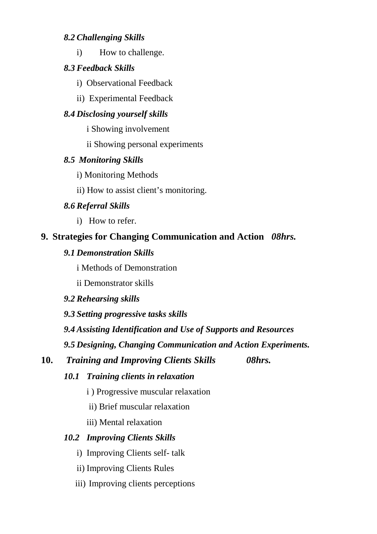#### *8.2 Challenging Skills*

i) How to challenge.

# *8.3 Feedback Skills*

- i) Observational Feedback
- ii) Experimental Feedback

# *8.4 Disclosing yourself skills*

- i Showing involvement
- ii Showing personal experiments

# *8.5 Monitoring Skills*

- i) Monitoring Methods
- ii) How to assist client's monitoring.

# *8.6 Referral Skills*

i) How to refer.

# **9. Strategies for Changing Communication and Action** *08hrs.*

# *9.1 Demonstration Skills*

i Methods of Demonstration

ii Demonstrator skills

*9.2 Rehearsing skills* 

*9.3 Setting progressive tasks skills* 

*9.4 Assisting Identification and Use of Supports and Resources* 

*9.5 Designing, Changing Communication and Action Experiments.* 

**10.** *Training and Improving Clients Skills 08hrs.* 

# *10.1 Training clients in relaxation*

- i ) Progressive muscular relaxation
- ii) Brief muscular relaxation

iii) Mental relaxation

# *10.2 Improving Clients Skills*

- i) Improving Clients self- talk
- ii) Improving Clients Rules
- iii) Improving clients perceptions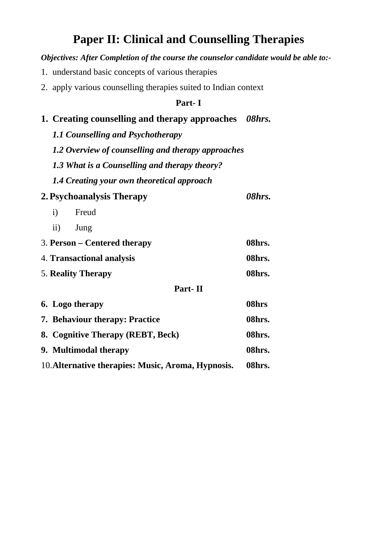# **Paper II: Clinical and Counselling Therapies**

#### *Objectives: After Completion of the course the counselor candidate would be able to:-*

- 1. understand basic concepts of various therapies
- 2. apply various counselling therapies suited to Indian context

#### **Part- I**

#### **1. Creating counselling and therapy approaches** *08hrs.*

- *1.1 Counselling and Psychotherapy*
- *1.2 Overview of counselling and therapy approaches*
- *1.3 What is a Counselling and therapy theory?*
- *1.4 Creating your own theoretical approach*

# **2.Psychoanalysis Therapy** *08hrs.*

- i) Freud
- ii) Jung

| 3. Person – Centered therapy | 08hrs. |
|------------------------------|--------|
| 4. Transactional analysis    | 08hrs. |
| <b>5. Reality Therapy</b>    | 08hrs. |

#### **Part- II**

| 6. Logo therapy                                    | 08hrs  |
|----------------------------------------------------|--------|
| <b>7. Behaviour therapy: Practice</b>              | 08hrs. |
| 8. Cognitive Therapy (REBT, Beck)                  | 08hrs. |
| 9. Multimodal therapy                              | 08hrs. |
| 10. Alternative therapies: Music, Aroma, Hypnosis. | 08hrs. |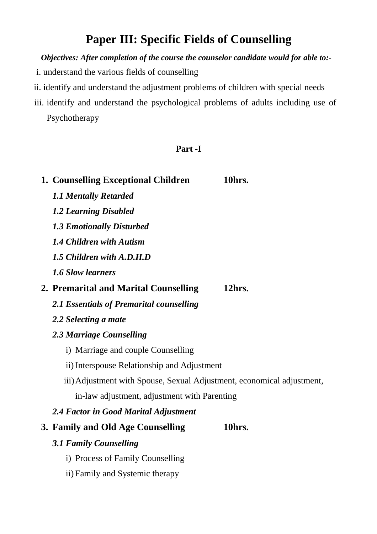# **Paper III: Specific Fields of Counselling**

*Objectives: After completion of the course the counselor candidate would for able to:-* 

- i. understand the various fields of counselling
- ii. identify and understand the adjustment problems of children with special needs
- iii. identify and understand the psychological problems of adults including use of Psychotherapy

#### **Part -I**

| 1. Counselling Exceptional Children                                    | 10hrs. |
|------------------------------------------------------------------------|--------|
| <b>1.1 Mentally Retarded</b>                                           |        |
| <b>1.2 Learning Disabled</b>                                           |        |
| <b>1.3 Emotionally Disturbed</b>                                       |        |
| 1.4 Children with Autism                                               |        |
| 1.5 Children with A.D.H.D                                              |        |
| <b>1.6 Slow learners</b>                                               |        |
| 2. Premarital and Marital Counselling                                  | 12hrs. |
| 2.1 Essentials of Premarital counselling                               |        |
| 2.2 Selecting a mate                                                   |        |
| 2.3 Marriage Counselling                                               |        |
| i) Marriage and couple Counselling                                     |        |
| ii) Interspouse Relationship and Adjustment                            |        |
| iii) Adjustment with Spouse, Sexual Adjustment, economical adjustment, |        |
| in-law adjustment, adjustment with Parenting                           |        |
| 2.4 Factor in Good Marital Adjustment                                  |        |
| 3. Family and Old Age Counselling                                      | 10hrs. |
| <b>3.1 Family Counselling</b>                                          |        |
| i) Process of Family Counselling                                       |        |
| ii) Family and Systemic therapy                                        |        |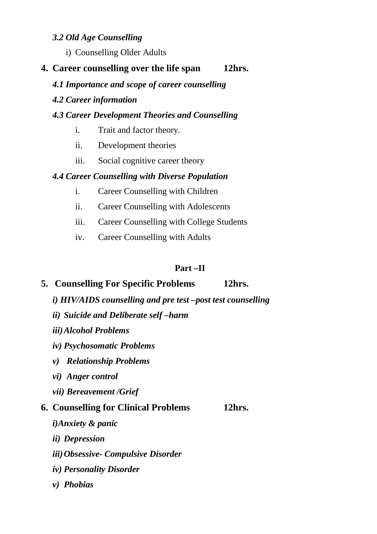#### *3.2 Old Age Counselling*

i) Counselling Older Adults

# **4. Career counselling over the life span 12hrs.**

*4.1 Importance and scope of career counselling* 

#### *4.2 Career information*

### *4.3 Career Development Theories and Counselling*

- i. Trait and factor theory.
- ii. Development theories
- iii. Social cognitive career theory

# *4.4 Career Counselling with Diverse Population*

- i. Career Counselling with Children
- ii. Career Counselling with Adolescents
- iii. Career Counselling with College Students
- iv. Career Counselling with Adults

# **Part –II**

# **5. Counselling For Specific Problems 12hrs.**

- *i) HIV/AIDS counselling and pre test –post test counselling*
- *ii) Suicide and Deliberate self –harm*
- *iii)Alcohol Problems*
- *iv) Psychosomatic Problems*
- *v) Relationship Problems*
- *vi) Anger control*
- *vii) Bereavement /Grief*

# **6. Counselling for Clinical Problems 12hrs.**

- *i)Anxiety & panic*
- *ii) Depression*
- *iii)Obsessive- Compulsive Disorder*
- *iv) Personality Disorder*
- *v) Phobias*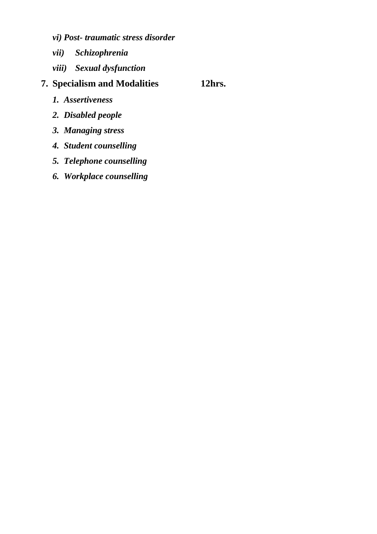- *vi) Post- traumatic stress disorder*
- *vii) Schizophrenia*
- *viii) Sexual dysfunction*

# **7. Specialism and Modalities 12hrs.**

- *1. Assertiveness*
- *2. Disabled people*
- *3. Managing stress*
- *4. Student counselling*
- *5. Telephone counselling*
- *6. Workplace counselling*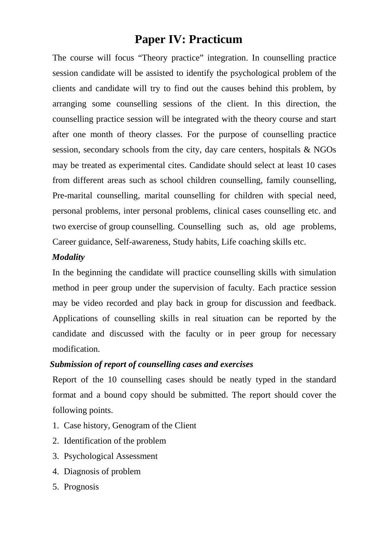# **Paper IV: Practicum**

 The course will focus "Theory practice" integration. In counselling practice session candidate will be assisted to identify the psychological problem of the clients and candidate will try to find out the causes behind this problem, by arranging some counselling sessions of the client. In this direction, the counselling practice session will be integrated with the theory course and start after one month of theory classes. For the purpose of counselling practice session, secondary schools from the city, day care centers, hospitals & NGOs may be treated as experimental cites. Candidate should select at least 10 cases from different areas such as school children counselling, family counselling, Pre-marital counselling, marital counselling for children with special need, personal problems, inter personal problems, clinical cases counselling etc. and two exercise of group counselling. Counselling such as, old age problems, Career guidance, Self-awareness, Study habits, Life coaching skills etc.

#### *Modality*

In the beginning the candidate will practice counselling skills with simulation method in peer group under the supervision of faculty. Each practice session may be video recorded and play back in group for discussion and feedback. Applications of counselling skills in real situation can be reported by the candidate and discussed with the faculty or in peer group for necessary modification.

#### *Submission of report of counselling cases and exercises*

 Report of the 10 counselling cases should be neatly typed in the standard format and a bound copy should be submitted. The report should cover the following points.

- 1. Case history, Genogram of the Client
- 2. Identification of the problem
- 3. Psychological Assessment
- 4. Diagnosis of problem
- 5. Prognosis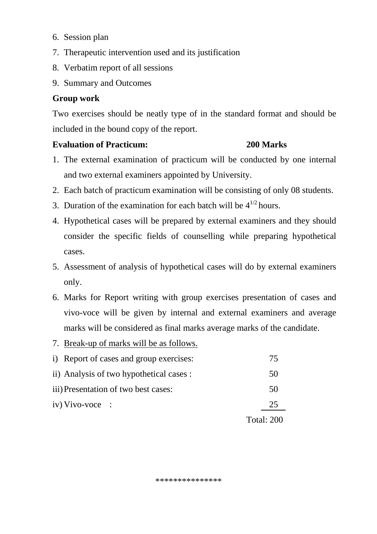- 6. Session plan
- 7. Therapeutic intervention used and its justification
- 8. Verbatim report of all sessions
- 9. Summary and Outcomes

#### **Group work**

Two exercises should be neatly type of in the standard format and should be included in the bound copy of the report.

#### **Evaluation of Practicum: 200 Marks**

- 1. The external examination of practicum will be conducted by one internal and two external examiners appointed by University.
- 2. Each batch of practicum examination will be consisting of only 08 students.
- 3. Duration of the examination for each batch will be  $4^{1/2}$  hours.
- 4. Hypothetical cases will be prepared by external examiners and they should consider the specific fields of counselling while preparing hypothetical cases.
- 5. Assessment of analysis of hypothetical cases will do by external examiners only.
- 6. Marks for Report writing with group exercises presentation of cases and vivo-voce will be given by internal and external examiners and average marks will be considered as final marks average marks of the candidate.
- 7. Break-up of marks will be as follows.

|                                          | <b>Total: 200</b> |
|------------------------------------------|-------------------|
| $iv)$ Vivo-voce :                        | 25                |
| iii) Presentation of two best cases:     | 50                |
| ii) Analysis of two hypothetical cases : | 50                |
| i) Report of cases and group exercises:  |                   |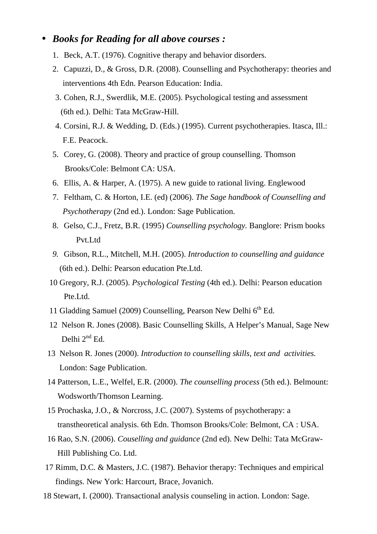#### • *Books for Reading for all above courses :*

- 1. Beck, A.T. (1976). Cognitive therapy and behavior disorders.
- 2. Capuzzi, D., & Gross, D.R. (2008). Counselling and Psychotherapy: theories and interventions 4th Edn. Pearson Education: India.
- 3. Cohen, R.J., Swerdlik, M.E. (2005). Psychological testing and assessment (6th ed.). Delhi: Tata McGraw-Hill.
- 4. Corsini, R.J. & Wedding, D. (Eds.) (1995). Current psychotherapies. Itasca, Ill.: F.E. Peacock.
- 5. Corey, G. (2008). Theory and practice of group counselling. Thomson Brooks/Cole: Belmont CA: USA.
- 6. Ellis, A. & Harper, A. (1975). A new guide to rational living. Englewood
- 7. Feltham, C. & Horton, I.E. (ed) (2006). *The Sage handbook of Counselling and Psychotherapy* (2nd ed.). London: Sage Publication.
- 8. Gelso, C.J., Fretz, B.R. (1995) *Counselling psychology.* Banglore: Prism books Pvt.Ltd
- *9.* Gibson, R.L., Mitchell, M.H. (2005). *Introduction to counselling and guidance*  (6th ed.). Delhi: Pearson education Pte.Ltd.
- 10 Gregory, R.J. (2005). *Psychological Testing* (4th ed.). Delhi: Pearson education Pte.Ltd.
- 11 Gladding Samuel (2009) Counselling, Pearson New Delhi  $6<sup>th</sup>$  Ed.
- 12 Nelson R. Jones (2008). Basic Counselling Skills, A Helper's Manual, Sage New Delhi 2<sup>nd</sup> Ed.
- 13 Nelson R. Jones (2000). *Introduction to counselling skills, text and activities.*  London: Sage Publication.
- 14 Patterson, L.E., Welfel, E.R. (2000). *The counselling process* (5th ed.). Belmount: Wodsworth/Thomson Learning.
- 15 Prochaska, J.O., & Norcross, J.C. (2007). Systems of psychotherapy: a transtheoretical analysis. 6th Edn. Thomson Brooks/Cole: Belmont, CA : USA.
- 16 Rao, S.N. (2006). *Couselling and guidance* (2nd ed). New Delhi: Tata McGraw- Hill Publishing Co. Ltd.
- 17 Rimm, D.C. & Masters, J.C. (1987). Behavior therapy: Techniques and empirical findings. New York: Harcourt, Brace, Jovanich.
- 18 Stewart, I. (2000). Transactional analysis counseling in action. London: Sage.